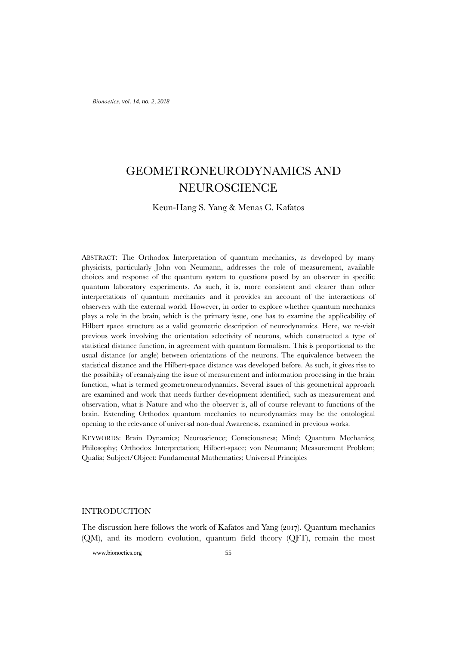# GEOMETRONEURODYNAMICS AND NEUROSCIENCE

Keun-Hang S. Yang & Menas C. Kafatos

ABSTRACT: The Orthodox Interpretation of quantum mechanics, as developed by many physicists, particularly John von Neumann, addresses the role of measurement, available choices and response of the quantum system to questions posed by an observer in specific quantum laboratory experiments. As such, it is, more consistent and clearer than other interpretations of quantum mechanics and it provides an account of the interactions of observers with the external world. However, in order to explore whether quantum mechanics plays a role in the brain, which is the primary issue, one has to examine the applicability of Hilbert space structure as a valid geometric description of neurodynamics. Here, we re-visit previous work involving the orientation selectivity of neurons, which constructed a type of statistical distance function, in agreement with quantum formalism. This is proportional to the usual distance (or angle) between orientations of the neurons. The equivalence between the statistical distance and the Hilbert-space distance was developed before. As such, it gives rise to the possibility of reanalyzing the issue of measurement and information processing in the brain function, what is termed geometroneurodynamics. Several issues of this geometrical approach are examined and work that needs further development identified, such as measurement and observation, what is Nature and who the observer is, all of course relevant to functions of the brain. Extending Orthodox quantum mechanics to neurodynamics may be the ontological opening to the relevance of universal non-dual Awareness, examined in previous works.

KEYWORDS: Brain Dynamics; Neuroscience; Consciousness; Mind; Quantum Mechanics; Philosophy; Orthodox Interpretation; Hilbert-space; von Neumann; Measurement Problem; Qualia; Subject/Object; Fundamental Mathematics; Universal Principles

# INTRODUCTION

The discussion here follows the work of Kafatos and Yang (2017). Quantum mechanics (QM), and its modern evolution, quantum field theory (QFT), remain the most

www.bionoetics.org 55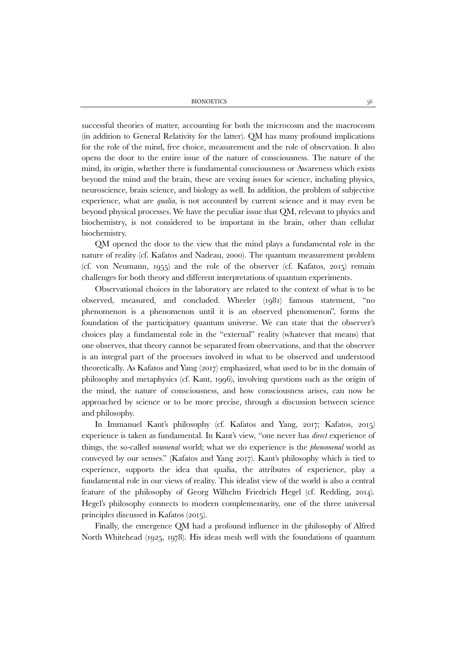successful theories of matter, accounting for both the microcosm and the macrocosm (in addition to General Relativity for the latter). QM has many profound implications for the role of the mind, free choice, measurement and the role of observation. It also opens the door to the entire issue of the nature of consciousness. The nature of the mind, its origin, whether there is fundamental consciousness or Awareness which exists beyond the mind and the brain, these are vexing issues for science, including physics, neuroscience, brain science, and biology as well. In addition, the problem of subjective experience, what are *qualia*, is not accounted by current science and it may even be beyond physical processes. We have the peculiar issue that QM, relevant to physics and biochemistry, is not considered to be important in the brain, other than cellular biochemistry.

QM opened the door to the view that the mind plays a fundamental role in the nature of reality (cf. Kafatos and Nadeau, 2000). The quantum measurement problem (cf. von Neumann, 1955) and the role of the observer (cf. Kafatos, 2015) remain challenges for both theory and different interpretations of quantum experiments.

Observational choices in the laboratory are related to the context of what is to be observed, measured, and concluded. Wheeler (1981) famous statement, "no phenomenon is a phenomenon until it is an observed phenomenon", forms the foundation of the participatory quantum universe. We can state that the observer's choices play a fundamental role in the "external" reality (whatever that means) that one observes, that theory cannot be separated from observations, and that the observer is an integral part of the processes involved in what to be observed and understood theoretically. As Kafatos and Yang (2017) emphasized, what used to be in the domain of philosophy and metaphysics (cf. Kant, 1996), involving questions such as the origin of the mind, the nature of consciousness, and how consciousness arises, can now be approached by science or to be more precise, through a discussion between science and philosophy.

In Immanuel Kant's philosophy (cf. Kafatos and Yang, 2017; Kafatos, 2015) experience is taken as fundamental. In Kant's view, "one never has *direct* experience of things, the so-called *noumenal* world; what we do experience is the *phenomenal* world as conveyed by our senses." (Kafatos and Yang 2017). Kant's philosophy which is tied to experience, supports the idea that qualia, the attributes of experience, play a fundamental role in our views of reality. This idealist view of the world is also a central feature of the philosophy of Georg Wilhelm Friedrich Hegel (cf. Redding, 2014). Hegel's philosophy connects to modern complementarity, one of the three universal principles discussed in Kafatos (2015).

Finally, the emergence QM had a profound influence in the philosophy of Alfred North Whitehead (1925, 1978). His ideas mesh well with the foundations of quantum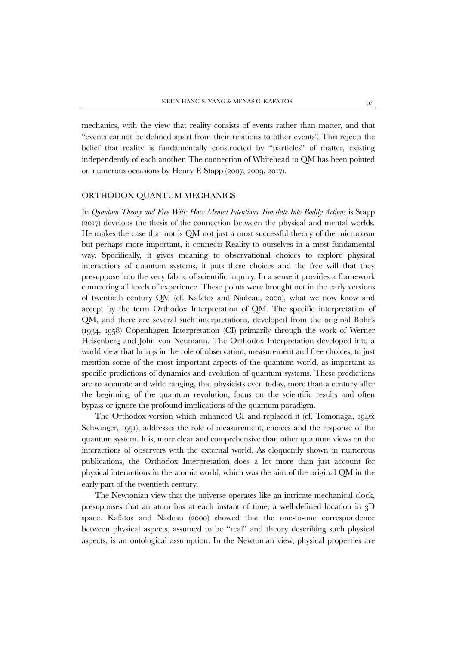mechanics, with the view that reality consists of events rather than matter, and that "events cannot be defined apart from their relations to other events". This rejects the belief that reality is fundamentally constructed by "particles" of matter, existing independently of each another. The connection of Whitehead to QM has been pointed on numerous occasions by Henry P. Stapp (2007, 2009, 2017).

### ORTHODOX QUANTUM MECHANICS

In *Quantum Theory and Free Will: How Mental Intentions Translate Into Bodily Actions* is Stapp (2017) develops the thesis of the connection between the physical and mental worlds. He makes the case that not is QM not just a most successful theory of the microcosm but perhaps more important, it connects Reality to ourselves in a most fundamental way. Specifically, it gives meaning to observational choices to explore physical interactions of quantum systems, it puts these choices and the free will that they presuppose into the very fabric of scientific inquiry. In a sense it provides a framework connecting all levels of experience. These points were brought out in the early versions of twentieth century QM (cf. Kafatos and Nadeau, 2000), what we now know and accept by the term Orthodox Interpretation of QM. The specific interpretation of QM, and there are several such interpretations, developed from the original Bohr's (1934, 1958) Copenhagen Interpretation (CI) primarily through the work of Werner Heisenberg and John von Neumann. The Orthodox Interpretation developed into a world view that brings in the role of observation, measurement and free choices, to just mention some of the most important aspects of the quantum world, as important as specific predictions of dynamics and evolution of quantum systems. These predictions are so accurate and wide ranging, that physicists even today, more than a century after the beginning of the quantum revolution, focus on the scientific results and often bypass or ignore the profound implications of the quantum paradigm.

The Orthodox version which enhanced CI and replaced it (cf. Tomonaga, 1946: Schwinger, 1951), addresses the role of measurement, choices and the response of the quantum system. It is, more clear and comprehensive than other quantum views on the interactions of observers with the external world. As eloquently shown in numerous publications, the Orthodox Interpretation does a lot more than just account for physical interactions in the atomic world, which was the aim of the original QM in the early part of the twentieth century.

The Newtonian view that the universe operates like an intricate mechanical clock, presupposes that an atom has at each instant of time, a well-defined location in 3D space. Kafatos and Nadeau (2000) showed that the one-to-one correspondence between physical aspects, assumed to be "real" and theory describing such physical aspects, is an ontological assumption. In the Newtonian view, physical properties are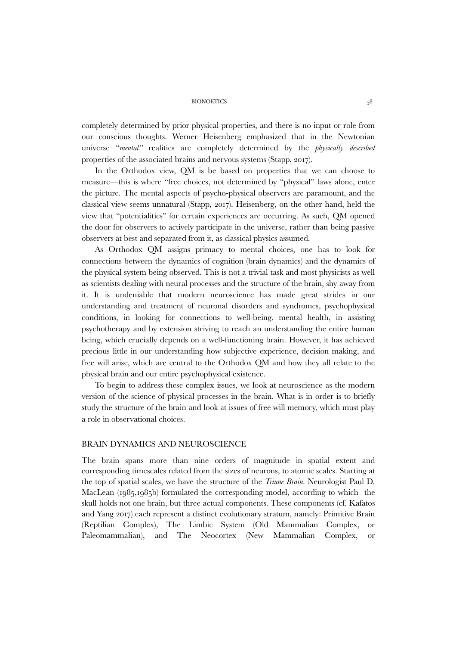completely determined by prior physical properties, and there is no input or role from our conscious thoughts. Werner Heisenberg emphasized that in the Newtonian universe "*mental"* realities are completely determined by the *physically described* properties of the associated brains and nervous systems (Stapp, 2017).

In the Orthodox view, QM is be based on properties that we can choose to measure—this is where "free choices, not determined by "physical" laws alone, enter the picture. The mental aspects of psycho-physical observers are paramount, and the classical view seems unnatural (Stapp, 2017). Heisenberg, on the other hand, held the view that "potentialities" for certain experiences are occurring. As such, QM opened the door for observers to actively participate in the universe, rather than being passive observers at best and separated from it, as classical physics assumed.

As Orthodox QM assigns primacy to mental choices, one has to look for connections between the dynamics of cognition (brain dynamics) and the dynamics of the physical system being observed. This is not a trivial task and most physicists as well as scientists dealing with neural processes and the structure of the brain, shy away from it. It is undeniable that modern neuroscience has made great strides in our understanding and treatment of neuronal disorders and syndromes, psychophysical conditions, in looking for connections to well-being, mental health, in assisting psychotherapy and by extension striving to reach an understanding the entire human being, which crucially depends on a well-functioning brain. However, it has achieved precious little in our understanding how subjective experience, decision making, and free will arise, which are central to the Orthodox QM and how they all relate to the physical brain and our entire psychophysical existence.

To begin to address these complex issues, we look at neuroscience as the modern version of the science of physical processes in the brain. What is in order is to briefly study the structure of the brain and look at issues of free will memory, which must play a role in observational choices.

## BRAIN DYNAMICS AND NEUROSCIENCE

The brain spans more than nine orders of magnitude in spatial extent and corresponding timescales related from the sizes of neurons, to atomic scales. Starting at the top of spatial scales, we have the structure of the *Triune Brain*. Neurologist Paul D. MacLean (1985,1985b) formulated the corresponding model, according to which the skull holds not one brain, but three actual components. These components (cf. Kafatos and Yang 2017) each represent a distinct evolutionary stratum, namely: Primitive Brain (Reptilian Complex), The Limbic System (Old Mammalian Complex, or Paleomammalian), and The Neocortex (New Mammalian Complex, or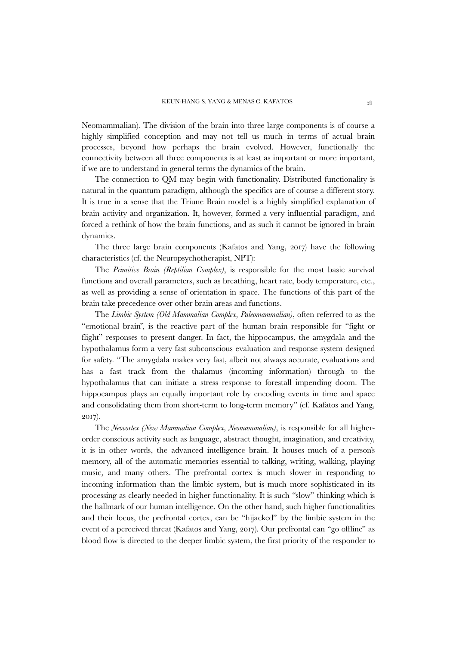Neomammalian). The division of the brain into three large components is of course a highly simplified conception and may not tell us much in terms of actual brain processes, beyond how perhaps the brain evolved. However, functionally the connectivity between all three components is at least as important or more important, if we are to understand in general terms the dynamics of the brain.

The connection to QM may begin with functionality. Distributed functionality is natural in the quantum paradigm, although the specifics are of course a different story. It is true in a sense that the Triune Brain model is a highly simplified explanation of brain activity and organization. It, however, formed a very influential paradigm, and forced a rethink of how the brain functions, and as such it cannot be ignored in brain dynamics.

The three large brain components (Kafatos and Yang, 2017) have the following characteristics (cf. the Neuropsychotherapist, NPT):

The *Primitive Brain (Reptilian Complex)*, is responsible for the most basic survival functions and overall parameters, such as breathing, heart rate, body temperature, etc., as well as providing a sense of orientation in space. The functions of this part of the brain take precedence over other brain areas and functions.

The *Limbic System (Old Mammalian Complex, Paleomammalian)*, often referred to as the "emotional brain", is the reactive part of the human brain responsible for "fight or flight" responses to present danger. In fact, the hippocampus, the amygdala and the hypothalamus form a very fast subconscious evaluation and response system designed for safety. "The amygdala makes very fast, albeit not always accurate, evaluations and has a fast track from the thalamus (incoming information) through to the hypothalamus that can initiate a stress response to forestall impending doom. The hippocampus plays an equally important role by encoding events in time and space and consolidating them from short-term to long-term memory" (cf. Kafatos and Yang, 2017).

The *Neocortex (New Mammalian Complex, Neomammalian)*, is responsible for all higherorder conscious activity such as language, abstract thought, imagination, and creativity, it is in other words, the advanced intelligence brain. It houses much of a person's memory, all of the automatic memories essential to talking, writing, walking, playing music, and many others. The prefrontal cortex is much slower in responding to incoming information than the limbic system, but is much more sophisticated in its processing as clearly needed in higher functionality. It is such "slow" thinking which is the hallmark of our human intelligence. On the other hand, such higher functionalities and their locus, the prefrontal cortex, can be "hijacked" by the limbic system in the event of a perceived threat (Kafatos and Yang, 2017). Our prefrontal can "go offline" as blood flow is directed to the deeper limbic system, the first priority of the responder to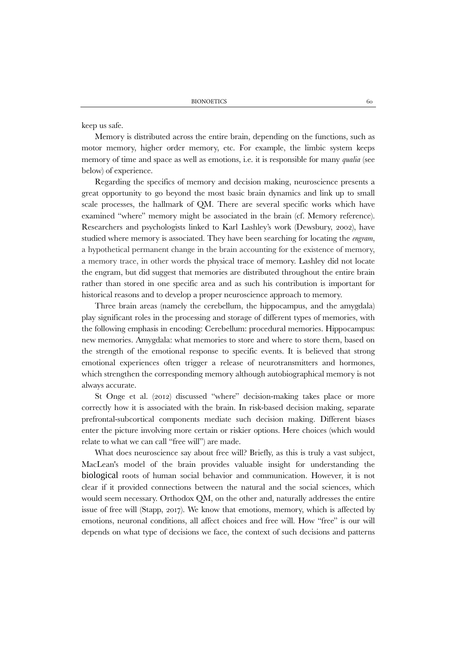keep us safe.

Memory is distributed across the entire brain, depending on the functions, such as motor memory, higher order memory, etc. For example, the limbic system keeps memory of time and space as well as emotions, i.e. it is responsible for many *qualia* (see below) of experience.

Regarding the specifics of memory and decision making, neuroscience presents a great opportunity to go beyond the most basic brain dynamics and link up to small scale processes, the hallmark of QM. There are several specific works which have examined "where" memory might be associated in the brain (cf. Memory reference). Researchers and psychologists linked to Karl Lashley's work (Dewsbury, 2002), have studied where memory is associated. They have been searching for locating the *engram*, a hypothetical permanent change in the brain accounting for the existence of memory, a memory trace, in other words the physical trace of memory. Lashley did not locate the engram, but did suggest that memories are distributed throughout the entire brain rather than stored in one specific area and as such his contribution is important for historical reasons and to develop a proper neuroscience approach to memory.

Three brain areas (namely the cerebellum, the hippocampus, and the amygdala) play significant roles in the processing and storage of different types of memories, with the following emphasis in encoding: Cerebellum: procedural memories. Hippocampus: new memories. Amygdala: what memories to store and where to store them, based on the strength of the emotional response to specific events. It is believed that strong emotional experiences often trigger a release of neurotransmitters and hormones, which strengthen the corresponding memory although autobiographical memory is not always accurate.

St Onge et al. (2012) discussed "where" decision-making takes place or more correctly how it is associated with the brain. In risk-based decision making, separate prefrontal-subcortical components mediate such decision making. Different biases enter the picture involving more certain or riskier options. Here choices (which would relate to what we can call "free will") are made.

What does neuroscience say about free will? Briefly, as this is truly a vast subject, MacLean's model of the brain provides valuable insight for understanding the biological roots of human social behavior and communication. However, it is not clear if it provided connections between the natural and the social sciences, which would seem necessary. Orthodox QM, on the other and, naturally addresses the entire issue of free will (Stapp, 2017). We know that emotions, memory, which is affected by emotions, neuronal conditions, all affect choices and free will. How "free" is our will depends on what type of decisions we face, the context of such decisions and patterns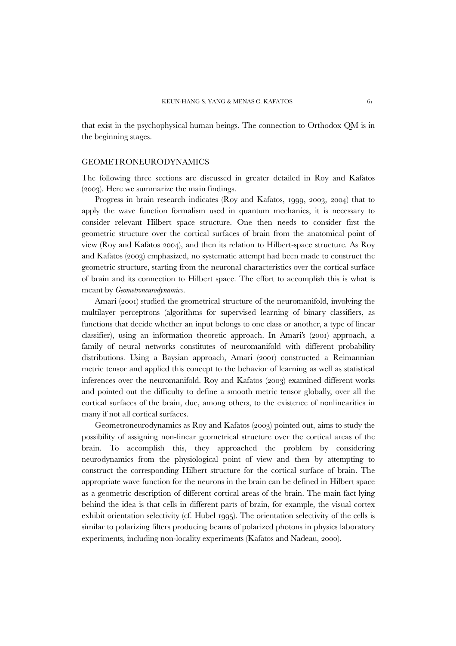that exist in the psychophysical human beings. The connection to Orthodox QM is in the beginning stages.

### GEOMETRONEURODYNAMICS

The following three sections are discussed in greater detailed in Roy and Kafatos (2003). Here we summarize the main findings.

Progress in brain research indicates (Roy and Kafatos, 1999, 2003, 2004) that to apply the wave function formalism used in quantum mechanics, it is necessary to consider relevant Hilbert space structure. One then needs to consider first the geometric structure over the cortical surfaces of brain from the anatomical point of view (Roy and Kafatos 2004), and then its relation to Hilbert-space structure. As Roy and Kafatos (2003) emphasized, no systematic attempt had been made to construct the geometric structure, starting from the neuronal characteristics over the cortical surface of brain and its connection to Hilbert space. The effort to accomplish this is what is meant by *Geometroneurodynamics*.

Amari (2001) studied the geometrical structure of the neuromanifold, involving the multilayer perceptrons (algorithms for supervised learning of binary classifiers, as functions that decide whether an input belongs to one class or another, a type of linear classifier), using an information theoretic approach. In Amari's (2001) approach, a family of neural networks constitutes of neuromanifold with different probability distributions. Using a Baysian approach, Amari (2001) constructed a Reimannian metric tensor and applied this concept to the behavior of learning as well as statistical inferences over the neuromanifold. Roy and Kafatos (2003) examined different works and pointed out the difficulty to define a smooth metric tensor globally, over all the cortical surfaces of the brain, due, among others, to the existence of nonlinearities in many if not all cortical surfaces.

Geometroneurodynamics as Roy and Kafatos (2003) pointed out, aims to study the possibility of assigning non-linear geometrical structure over the cortical areas of the brain. To accomplish this, they approached the problem by considering neurodynamics from the physiological point of view and then by attempting to construct the corresponding Hilbert structure for the cortical surface of brain. The appropriate wave function for the neurons in the brain can be defined in Hilbert space as a geometric description of different cortical areas of the brain. The main fact lying behind the idea is that cells in different parts of brain, for example, the visual cortex exhibit orientation selectivity (cf. Hubel 1995). The orientation selectivity of the cells is similar to polarizing filters producing beams of polarized photons in physics laboratory experiments, including non-locality experiments (Kafatos and Nadeau, 2000).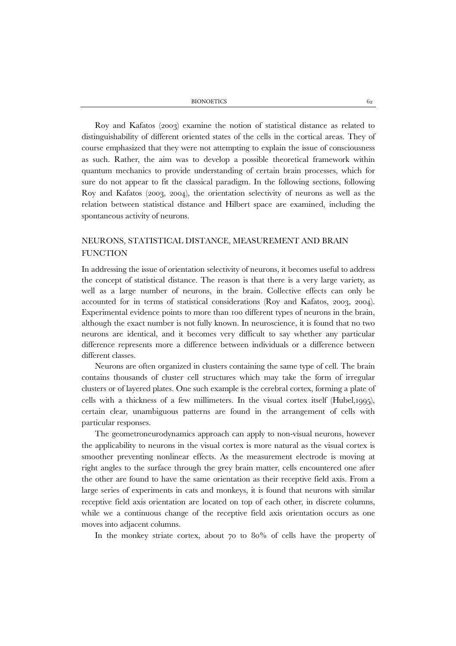Roy and Kafatos (2003) examine the notion of statistical distance as related to distinguishability of different oriented states of the cells in the cortical areas. They of course emphasized that they were not attempting to explain the issue of consciousness as such. Rather, the aim was to develop a possible theoretical framework within quantum mechanics to provide understanding of certain brain processes, which for sure do not appear to fit the classical paradigm. In the following sections, following Roy and Kafatos (2003, 2004), the orientation selectivity of neurons as well as the relation between statistical distance and Hilbert space are examined, including the spontaneous activity of neurons.

# NEURONS, STATISTICAL DISTANCE, MEASUREMENT AND BRAIN **FUNCTION**

In addressing the issue of orientation selectivity of neurons, it becomes useful to address the concept of statistical distance. The reason is that there is a very large variety, as well as a large number of neurons, in the brain. Collective effects can only be accounted for in terms of statistical considerations (Roy and Kafatos, 2003, 2004). Experimental evidence points to more than 100 different types of neurons in the brain, although the exact number is not fully known. In neuroscience, it is found that no two neurons are identical, and it becomes very difficult to say whether any particular difference represents more a difference between individuals or a difference between different classes.

Neurons are often organized in clusters containing the same type of cell. The brain contains thousands of cluster cell structures which may take the form of irregular clusters or of layered plates. One such example is the cerebral cortex, forming a plate of cells with a thickness of a few millimeters. In the visual cortex itself (Hubel,1995), certain clear, unambiguous patterns are found in the arrangement of cells with particular responses.

The geometroneurodynamics approach can apply to non-visual neurons, however the applicability to neurons in the visual cortex is more natural as the visual cortex is smoother preventing nonlinear effects. As the measurement electrode is moving at right angles to the surface through the grey brain matter, cells encountered one after the other are found to have the same orientation as their receptive field axis. From a large series of experiments in cats and monkeys, it is found that neurons with similar receptive field axis orientation are located on top of each other, in discrete columns, while we a continuous change of the receptive field axis orientation occurs as one moves into adjacent columns.

In the monkey striate cortex, about 70 to 80% of cells have the property of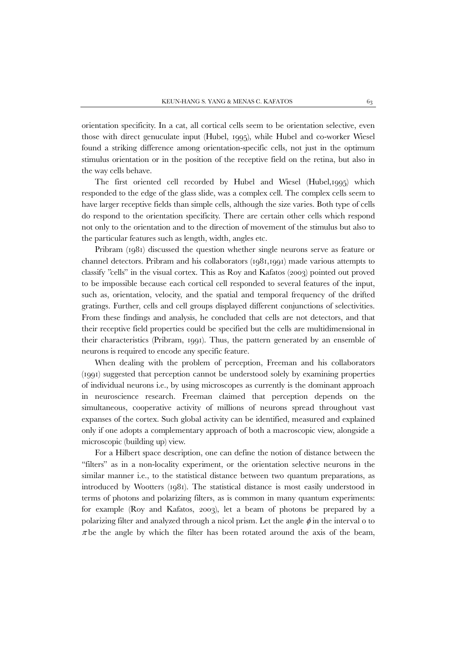orientation specificity. In a cat, all cortical cells seem to be orientation selective, even those with direct genuculate input (Hubel, 1995), while Hubel and co-worker Wiesel found a striking difference among orientation-specific cells, not just in the optimum stimulus orientation or in the position of the receptive field on the retina, but also in the way cells behave.

The first oriented cell recorded by Hubel and Wiesel (Hubel,1995) which responded to the edge of the glass slide, was a complex cell. The complex cells seem to have larger receptive fields than simple cells, although the size varies. Both type of cells do respond to the orientation specificity. There are certain other cells which respond not only to the orientation and to the direction of movement of the stimulus but also to the particular features such as length, width, angles etc.

Pribram (1981) discussed the question whether single neurons serve as feature or channel detectors. Pribram and his collaborators (1981,1991) made various attempts to classify "cells" in the visual cortex. This as Roy and Kafatos (2003) pointed out proved to be impossible because each cortical cell responded to several features of the input, such as, orientation, velocity, and the spatial and temporal frequency of the drifted gratings. Further, cells and cell groups displayed different conjunctions of selectivities. From these findings and analysis, he concluded that cells are not detectors, and that their receptive field properties could be specified but the cells are multidimensional in their characteristics (Pribram, 1991). Thus, the pattern generated by an ensemble of neurons is required to encode any specific feature.

When dealing with the problem of perception, Freeman and his collaborators (1991) suggested that perception cannot be understood solely by examining properties of individual neurons i.e., by using microscopes as currently is the dominant approach in neuroscience research. Freeman claimed that perception depends on the simultaneous, cooperative activity of millions of neurons spread throughout vast expanses of the cortex. Such global activity can be identified, measured and explained only if one adopts a complementary approach of both a macroscopic view, alongside a microscopic (building up) view.

For a Hilbert space description, one can define the notion of distance between the "filters" as in a non-locality experiment, or the orientation selective neurons in the similar manner i.e., to the statistical distance between two quantum preparations, as introduced by Wootters (1981). The statistical distance is most easily understood in terms of photons and polarizing filters, as is common in many quantum experiments: for example (Roy and Kafatos, 2003), let a beam of photons be prepared by a polarizing filter and analyzed through a nicol prism. Let the angle  $\phi$  in the interval o to  $\pi$  be the angle by which the filter has been rotated around the axis of the beam,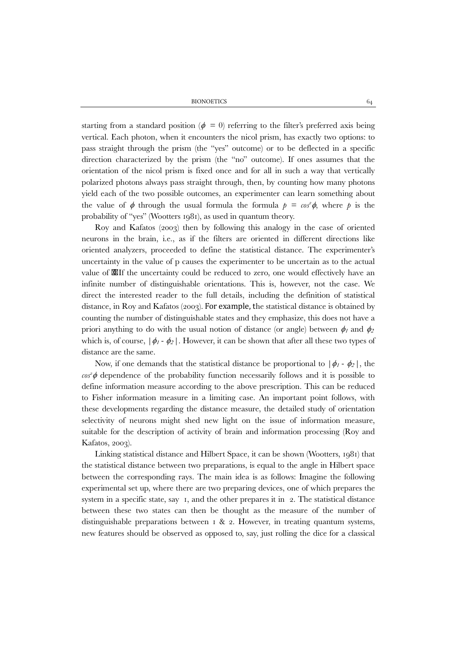starting from a standard position ( $\phi = 0$ ) referring to the filter's preferred axis being vertical. Each photon, when it encounters the nicol prism, has exactly two options: to pass straight through the prism (the "yes" outcome) or to be deflected in a specific direction characterized by the prism (the "no" outcome). If ones assumes that the orientation of the nicol prism is fixed once and for all in such a way that vertically polarized photons always pass straight through, then, by counting how many photons yield each of the two possible outcomes, an experimenter can learn something about the value of  $\phi$  through the usual formula the formula  $p = \cos^2 \phi$ , where p is the probability of "yes" (Wootters 1981), as used in quantum theory.

Roy and Kafatos (2003) then by following this analogy in the case of oriented neurons in the brain, i.e., as if the filters are oriented in different directions like oriented analyzers, proceeded to define the statistical distance. The experimenter's uncertainty in the value of p causes the experimenter to be uncertain as to the actual value of If the uncertainty could be reduced to zero, one would effectively have an infinite number of distinguishable orientations. This is, however, not the case. We direct the interested reader to the full details, including the definition of statistical distance, in Roy and Kafatos (2003). For example, the statistical distance is obtained by counting the number of distinguishable states and they emphasize, this does not have a priori anything to do with the usual notion of distance (or angle) between  $\phi_l$  and  $\phi_2$ which is, of course,  $|\phi_1 - \phi_2|$ . However, it can be shown that after all these two types of distance are the same.

Now, if one demands that the statistical distance be proportional to  $|\phi_1 - \phi_2|$ , the  $cos^2 \phi$  dependence of the probability function necessarily follows and it is possible to define information measure according to the above prescription. This can be reduced to Fisher information measure in a limiting case. An important point follows, with these developments regarding the distance measure, the detailed study of orientation selectivity of neurons might shed new light on the issue of information measure, suitable for the description of activity of brain and information processing (Roy and Kafatos, 2003).

Linking statistical distance and Hilbert Space, it can be shown (Wootters, 1981) that the statistical distance between two preparations, is equal to the angle in Hilbert space between the corresponding rays. The main idea is as follows: Imagine the following experimental set up, where there are two preparing devices, one of which prepares the system in a specific state, say 1, and the other prepares it in 2. The statistical distance between these two states can then be thought as the measure of the number of distinguishable preparations between 1 & 2. However, in treating quantum systems, new features should be observed as opposed to, say, just rolling the dice for a classical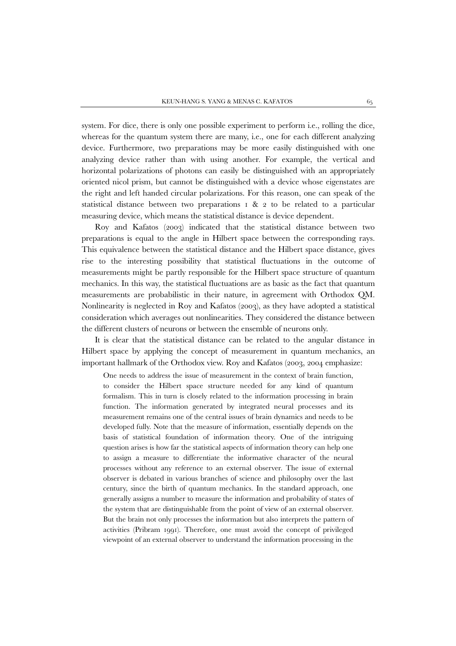system. For dice, there is only one possible experiment to perform i.e., rolling the dice, whereas for the quantum system there are many, i.e., one for each different analyzing device. Furthermore, two preparations may be more easily distinguished with one analyzing device rather than with using another. For example, the vertical and horizontal polarizations of photons can easily be distinguished with an appropriately oriented nicol prism, but cannot be distinguished with a device whose eigenstates are the right and left handed circular polarizations. For this reason, one can speak of the statistical distance between two preparations 1 & 2 to be related to a particular measuring device, which means the statistical distance is device dependent.

Roy and Kafatos (2003) indicated that the statistical distance between two preparations is equal to the angle in Hilbert space between the corresponding rays. This equivalence between the statistical distance and the Hilbert space distance, gives rise to the interesting possibility that statistical fluctuations in the outcome of measurements might be partly responsible for the Hilbert space structure of quantum mechanics. In this way, the statistical fluctuations are as basic as the fact that quantum measurements are probabilistic in their nature, in agreement with Orthodox QM. Nonlinearity is neglected in Roy and Kafatos (2003), as they have adopted a statistical consideration which averages out nonlinearities. They considered the distance between the different clusters of neurons or between the ensemble of neurons only.

It is clear that the statistical distance can be related to the angular distance in Hilbert space by applying the concept of measurement in quantum mechanics, an important hallmark of the Orthodox view. Roy and Kafatos (2003, 2004 emphasize:

One needs to address the issue of measurement in the context of brain function, to consider the Hilbert space structure needed for any kind of quantum formalism. This in turn is closely related to the information processing in brain function. The information generated by integrated neural processes and its measurement remains one of the central issues of brain dynamics and needs to be developed fully. Note that the measure of information, essentially depends on the basis of statistical foundation of information theory. One of the intriguing question arises is how far the statistical aspects of information theory can help one to assign a measure to differentiate the informative character of the neural processes without any reference to an external observer. The issue of external observer is debated in various branches of science and philosophy over the last century, since the birth of quantum mechanics. In the standard approach, one generally assigns a number to measure the information and probability of states of the system that are distinguishable from the point of view of an external observer. But the brain not only processes the information but also interprets the pattern of activities (Pribram 1991). Therefore, one must avoid the concept of privileged viewpoint of an external observer to understand the information processing in the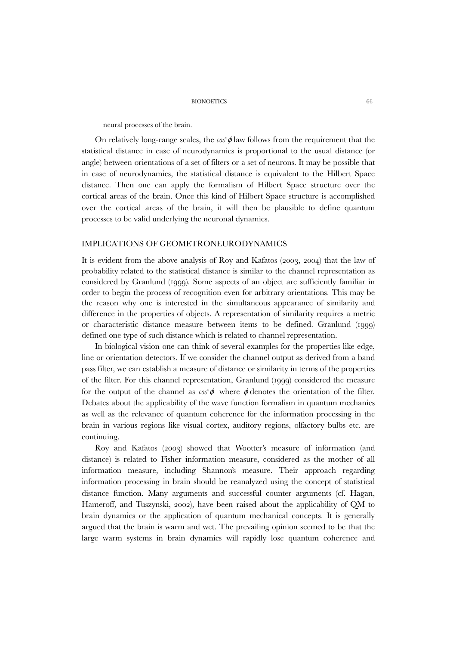neural processes of the brain.

On relatively long-range scales, the  $\cos^2 \phi$  law follows from the requirement that the statistical distance in case of neurodynamics is proportional to the usual distance (or angle) between orientations of a set of filters or a set of neurons. It may be possible that in case of neurodynamics, the statistical distance is equivalent to the Hilbert Space distance. Then one can apply the formalism of Hilbert Space structure over the cortical areas of the brain. Once this kind of Hilbert Space structure is accomplished over the cortical areas of the brain, it will then be plausible to define quantum processes to be valid underlying the neuronal dynamics.

### IMPLICATIONS OF GEOMETRONEURODYNAMICS

It is evident from the above analysis of Roy and Kafatos (2003, 2004) that the law of probability related to the statistical distance is similar to the channel representation as considered by Granlund (1999). Some aspects of an object are sufficiently familiar in order to begin the process of recognition even for arbitrary orientations. This may be the reason why one is interested in the simultaneous appearance of similarity and difference in the properties of objects. A representation of similarity requires a metric or characteristic distance measure between items to be defined. Granlund (1999) defined one type of such distance which is related to channel representation.

In biological vision one can think of several examples for the properties like edge, line or orientation detectors. If we consider the channel output as derived from a band pass filter, we can establish a measure of distance or similarity in terms of the properties of the filter. For this channel representation, Granlund (1999) considered the measure for the output of the channel as  $\cos^2 \phi$  where  $\phi$  denotes the orientation of the filter. Debates about the applicability of the wave function formalism in quantum mechanics as well as the relevance of quantum coherence for the information processing in the brain in various regions like visual cortex, auditory regions, olfactory bulbs etc. are continuing.

Roy and Kafatos (2003) showed that Wootter's measure of information (and distance) is related to Fisher information measure, considered as the mother of all information measure, including Shannon's measure. Their approach regarding information processing in brain should be reanalyzed using the concept of statistical distance function. Many arguments and successful counter arguments (cf. Hagan, Hameroff, and Tuszynski, 2002), have been raised about the applicability of QM to brain dynamics or the application of quantum mechanical concepts. It is generally argued that the brain is warm and wet. The prevailing opinion seemed to be that the large warm systems in brain dynamics will rapidly lose quantum coherence and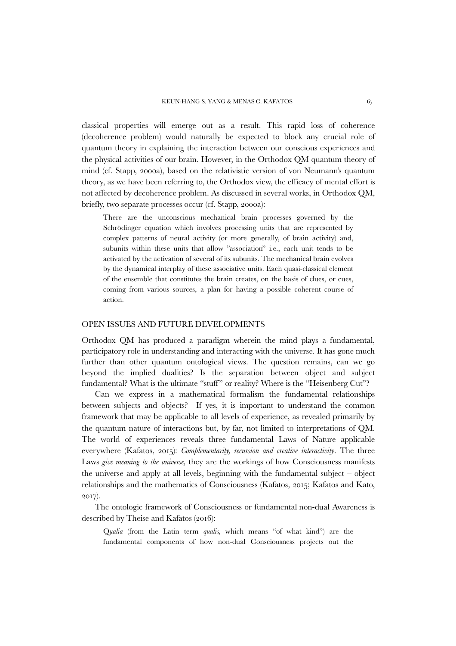classical properties will emerge out as a result. This rapid loss of coherence (decoherence problem) would naturally be expected to block any crucial role of quantum theory in explaining the interaction between our conscious experiences and the physical activities of our brain. However, in the Orthodox QM quantum theory of mind (cf. Stapp, 2000a), based on the relativistic version of von Neumann's quantum theory, as we have been referring to, the Orthodox view, the efficacy of mental effort is not affected by decoherence problem. As discussed in several works, in Orthodox QM, briefly, two separate processes occur (cf. Stapp, 2000a):

There are the unconscious mechanical brain processes governed by the Schrödinger equation which involves processing units that are represented by complex patterns of neural activity (or more generally, of brain activity) and, subunits within these units that allow "association" i.e., each unit tends to be activated by the activation of several of its subunits. The mechanical brain evolves by the dynamical interplay of these associative units. Each quasi-classical element of the ensemble that constitutes the brain creates, on the basis of clues, or cues, coming from various sources, a plan for having a possible coherent course of action.

## OPEN ISSUES AND FUTURE DEVELOPMENTS

Orthodox QM has produced a paradigm wherein the mind plays a fundamental, participatory role in understanding and interacting with the universe. It has gone much further than other quantum ontological views. The question remains, can we go beyond the implied dualities? Is the separation between object and subject fundamental? What is the ultimate "stuff" or reality? Where is the "Heisenberg Cut"?

Can we express in a mathematical formalism the fundamental relationships between subjects and objects? If yes, it is important to understand the common framework that may be applicable to all levels of experience, as revealed primarily by the quantum nature of interactions but, by far, not limited to interpretations of QM. The world of experiences reveals three fundamental Laws of Nature applicable everywhere (Kafatos, 2015): *Complementarity, recursion and creative interactivity*. The three Laws *give meaning to the universe,* they are the workings of how Consciousness manifests the universe and apply at all levels, beginning with the fundamental subject – object relationships and the mathematics of Consciousness (Kafatos, 2015; Kafatos and Kato, 2017)*.*

The ontologic framework of Consciousness or fundamental non-dual Awareness is described by Theise and Kafatos (2016):

Q*ualia* (from the Latin term *qualis,* which means "of what kind") are the fundamental components of how non-dual Consciousness projects out the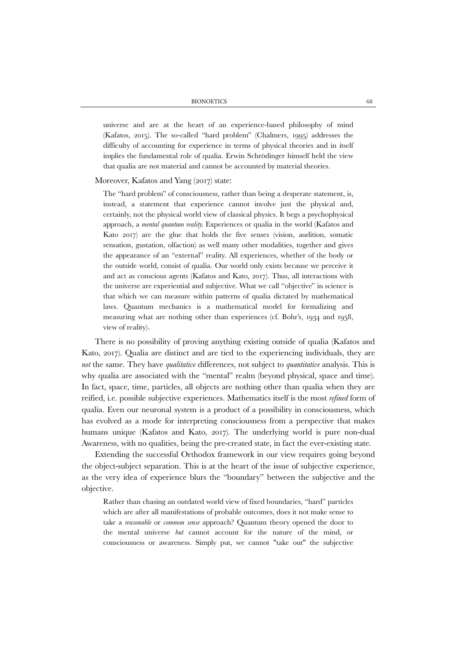universe and are at the heart of an experience-based philosophy of mind (Kafatos, 2015). The so-called "hard problem" (Chalmers, 1995) addresses the difficulty of accounting for experience in terms of physical theories and in itself implies the fundamental role of qualia. Erwin Schrödinger himself held the view that qualia are not material and cannot be accounted by material theories.

# Moreover, Kafatos and Yang (2017) state:

The "hard problem" of consciousness, rather than being a desperate statement, is, instead, a statement that experience cannot involve just the physical and, certainly, not the physical world view of classical physics. It begs a psychophysical approach, a *mental quantum reality.* Experiences or qualia in the world (Kafatos and Kato 2017) are the glue that holds the five senses (vision, audition, somatic sensation, gustation, olfaction) as well many other modalities, together and gives the appearance of an "external" reality. All experiences, whether of the body or the outside world, consist of qualia. Our world only exists because we perceive it and act as conscious agents (Kafatos and Kato, 2017). Thus, all interactions with the universe are experiential and subjective. What we call "objective" in science is that which we can measure within patterns of qualia dictated by mathematical laws. Quantum mechanics is a mathematical model for formalizing and measuring what are nothing other than experiences (cf. Bohr's, 1934 and 1958, view of reality).

There is no possibility of proving anything existing outside of qualia (Kafatos and Kato, 2017). Qualia are distinct and are tied to the experiencing individuals, they are *not* the same. They have *qualitative* differences, not subject to *quantitative* analysis. This is why qualia are associated with the "mental" realm (beyond physical, space and time). In fact, space, time, particles, all objects are nothing other than qualia when they are reified, i.e. possible subjective experiences. Mathematics itself is the most *refined* form of qualia. Even our neuronal system is a product of a possibility in consciousness, which has evolved as a mode for interpreting consciousness from a perspective that makes humans unique (Kafatos and Kato, 2017). The underlying world is pure non-dual Awareness, with no qualities, being the pre-created state, in fact the ever-existing state.

Extending the successful Orthodox framework in our view requires going beyond the object-subject separation. This is at the heart of the issue of subjective experience, as the very idea of experience blurs the "boundary" between the subjective and the objective.

Rather than chasing an outdated world view of fixed boundaries, "hard" particles which are after all manifestations of probable outcomes, does it not make sense to take a *reasonable* or *common sense* approach? Quantum theory opened the door to the mental universe *but* cannot account for the nature of the mind, or consciousness or awareness. Simply put, we cannot "take out" the subjective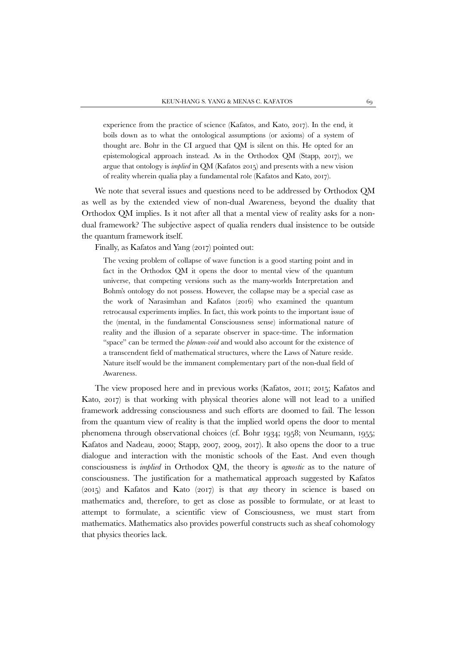experience from the practice of science (Kafatos, and Kato, 2017). In the end, it boils down as to what the ontological assumptions (or axioms) of a system of thought are. Bohr in the CI argued that QM is silent on this. He opted for an epistemological approach instead. As in the Orthodox QM (Stapp, 2017), we argue that ontology is *implied* in QM (Kafatos 2015) and presents with a new vision of reality wherein qualia play a fundamental role (Kafatos and Kato, 2017).

We note that several issues and questions need to be addressed by Orthodox QM as well as by the extended view of non-dual Awareness, beyond the duality that Orthodox QM implies. Is it not after all that a mental view of reality asks for a nondual framework? The subjective aspect of qualia renders dual insistence to be outside the quantum framework itself.

Finally, as Kafatos and Yang (2017) pointed out:

The vexing problem of collapse of wave function is a good starting point and in fact in the Orthodox QM it opens the door to mental view of the quantum universe, that competing versions such as the many-worlds Interpretation and Bohm's ontology do not possess. However, the collapse may be a special case as the work of Narasimhan and Kafatos (2016) who examined the quantum retrocausal experiments implies. In fact, this work points to the important issue of the (mental, in the fundamental Consciousness sense) informational nature of reality and the illusion of a separate observer in space-time. The information "space" can be termed the *plenum-void* and would also account for the existence of a transcendent field of mathematical structures, where the Laws of Nature reside. Nature itself would be the immanent complementary part of the non-dual field of Awareness.

The view proposed here and in previous works (Kafatos, 2011; 2015; Kafatos and Kato, 2017) is that working with physical theories alone will not lead to a unified framework addressing consciousness and such efforts are doomed to fail. The lesson from the quantum view of reality is that the implied world opens the door to mental phenomena through observational choices (cf. Bohr 1934; 1958; von Neumann, 1955; Kafatos and Nadeau, 2000; Stapp, 2007, 2009, 2017). It also opens the door to a true dialogue and interaction with the monistic schools of the East. And even though consciousness is *implied* in Orthodox QM, the theory is *agnostic* as to the nature of consciousness. The justification for a mathematical approach suggested by Kafatos (2015) and Kafatos and Kato (2017) is that *any* theory in science is based on mathematics and, therefore, to get as close as possible to formulate, or at least to attempt to formulate, a scientific view of Consciousness, we must start from mathematics. Mathematics also provides powerful constructs such as sheaf cohomology that physics theories lack.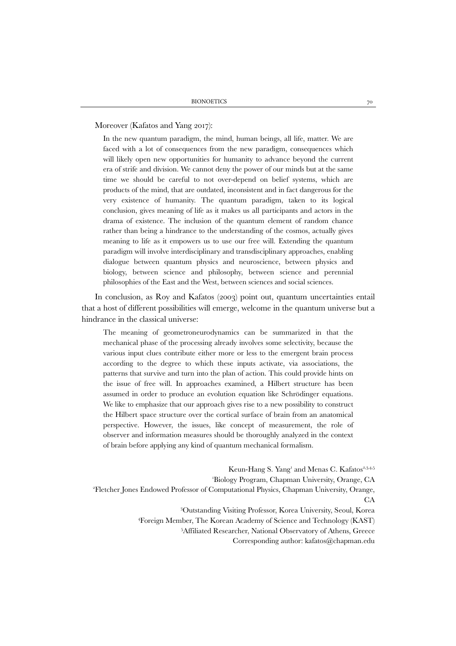Moreover (Kafatos and Yang 2017):

In the new quantum paradigm, the mind, human beings, all life, matter. We are faced with a lot of consequences from the new paradigm, consequences which will likely open new opportunities for humanity to advance beyond the current era of strife and division. We cannot deny the power of our minds but at the same time we should be careful to not over-depend on belief systems, which are products of the mind, that are outdated, inconsistent and in fact dangerous for the very existence of humanity. The quantum paradigm, taken to its logical conclusion, gives meaning of life as it makes us all participants and actors in the drama of existence. The inclusion of the quantum element of random chance rather than being a hindrance to the understanding of the cosmos, actually gives meaning to life as it empowers us to use our free will. Extending the quantum paradigm will involve interdisciplinary and transdisciplinary approaches, enabling dialogue between quantum physics and neuroscience, between physics and biology, between science and philosophy, between science and perennial philosophies of the East and the West, between sciences and social sciences.

In conclusion, as Roy and Kafatos (2003) point out, quantum uncertainties entail that a host of different possibilities will emerge, welcome in the quantum universe but a hindrance in the classical universe:

The meaning of geometroneurodynamics can be summarized in that the mechanical phase of the processing already involves some selectivity, because the various input clues contribute either more or less to the emergent brain process according to the degree to which these inputs activate, via associations, the patterns that survive and turn into the plan of action. This could provide hints on the issue of free will. In approaches examined, a Hilbert structure has been assumed in order to produce an evolution equation like Schrödinger equations. We like to emphasize that our approach gives rise to a new possibility to construct the Hilbert space structure over the cortical surface of brain from an anatomical perspective. However, the issues, like concept of measurement, the role of observer and information measures should be thoroughly analyzed in the context of brain before applying any kind of quantum mechanical formalism.

Keun-Hang S. Yang<sup>1</sup> and Menas C. Kafatos<sup>2,3,4,5</sup> 'Biology Program, Chapman University, Orange, CA Biology Program, Chapman University, Orange, CA 2 Fletcher Jones Endowed Professor of Computational Physics, Chapman University, Orange, CA 3 Outstanding Visiting Professor, Korea University, Seoul, Korea 4 Foreign Member, The Korean Academy of Science and Technology (KAST) 5 Affiliated Researcher, National Observatory of Athens, Greece

Corresponding author: kafatos@chapman.edu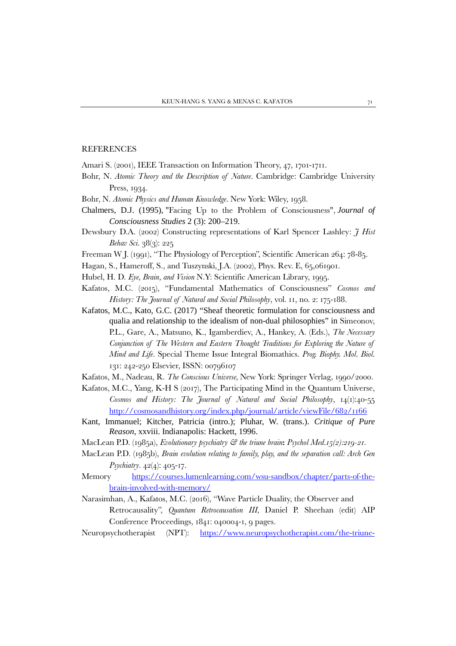### REFERENCES

- Amari S. (2001), IEEE Transaction on Information Theory, 47, 1701-1711.
- Bohr, N. *Atomic Theory and the Description of Nature*. Cambridge: Cambridge University Press, 1934.
- Bohr, N. *Atomic Physics and Human Knowledge*. New York: Wiley, 1958.
- Chalmers, D.J. (1995), "Facing Up to the Problem of Consciousness", *Journal of Consciousness Studies* 2 (3): 200–219.
- Dewsbury D.A. (2002) Constructing representations of Karl Spencer Lashley: *J Hist Behav Sci.* 38(3): 225
- Freeman W J. (1991), "The Physiology of Perception", Scientific American 264: 78-85.
- Hagan, S., Hameroff, S., and Tuszynski, J.A. (2002), Phys. Rev. E, 65,061901.
- Hubel, H. D. *Eye, Brain, and Vision* N.Y: Scientific American Library, 1995.
- Kafatos, M.C. (2015), "Fundamental Mathematics of Consciousness" *Cosmos and History: The Journal of Natural and Social Philosophy*, vol. 11, no. 2: 175-188.
- Kafatos, M.C., Kato, G.C. (2017) "Sheaf theoretic formulation for consciousness and qualia and relationship to the idealism of non-dual philosophies" in Simeonov, P.L., Gare, A., Matsuno, K., Igamberdiev, A., Hankey, A. (Eds.), *The Necessary Conjunction of The Western and Eastern Thought Traditions for Exploring the Nature of Mind and Life*. Special Theme Issue Integral Biomathics. *Prog. Biophy. Mol. Biol.* 131: 242-250 Elsevier, ISSN: 00796107
- Kafatos, M., Nadeau, R. *The Conscious Universe,* New York: Springer Verlag, 1990/2000.
- Kafatos, M.C., Yang, K-H S (2017), The Participating Mind in the Quantum Universe, *Cosmos and History: The Journal of Natural and Social Philosophy*, 14(1):40-55 <http://cosmosandhistory.org/index.php/journal/article/viewFile/682/1166>
- Kant, Immanuel; Kitcher, Patricia (intro.); Pluhar, W. (trans.). *Critique of Pure Reason,* xxviii. Indianapolis: Hackett, 1996.
- MacLean P.D. (1985a), *Evolutionary psychiatry & the triune brain***:** *Psychol Med.15(2):219-21.*
- MacLean P.D. (1985b), *Brain evolution relating to family, play, and the separation call: Arch Gen Psychiatry*. 42(4): 405-17.
- Memory [https://courses.lumenlearning.com/wsu-sandbox/chapter/parts-of-the](https://courses.lumenlearning.com/wsu-sandbox/chapter/parts-of-the-brain-involved-with-memory/)[brain-involved-with-memory/](https://courses.lumenlearning.com/wsu-sandbox/chapter/parts-of-the-brain-involved-with-memory/)
- Narasimhan, A., Kafatos, M.C. (2016), "Wave Particle Duality, the Observer and Retrocausality", *Quantum Retrocausation III,* Daniel P. Sheehan (edit) AIP Conference Proceedings, 1841: 040004-1, 9 pages.
- Neuropsychotherapist (NPT): [https://www.neuropsychotherapist.com/the-triune-](https://www.neuropsychotherapist.com/the-triune-brain/)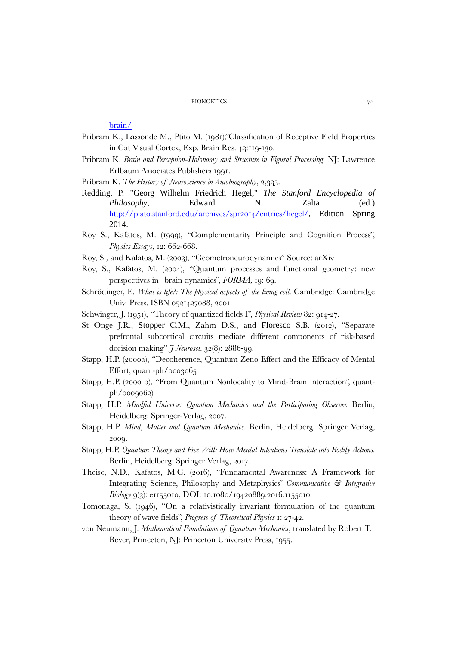[brain/](https://www.neuropsychotherapist.com/the-triune-brain/)

- Pribram K., Lassonde M., Ptito M. (1981),"Classification of Receptive Field Properties in Cat Visual Cortex, Exp. Brain Res. 43:119-130.
- Pribram K. *Brain and Perception-Holonomy and Structure in Figural Processing*. NJ: Lawrence Erlbaum Associates Publishers 1991.
- Pribram K. *The History of Neuroscience in Autobiography*, 2,335.
- Redding, P. "Georg Wilhelm Friedrich Hegel," *The Stanford Encyclopedia of Philosophy*, Edward N. Zalta (ed.) <http://plato.stanford.edu/archives/spr2014/entries/hegel/>, Edition Spring 2014.
- Roy S., Kafatos, M. (1999), *"*Complementarity Principle and Cognition Process", *Physics Essays*, 12: 662-668.
- Roy, S., and Kafatos, M. (2003), "Geometroneurodynamics" Source: arXiv
- Roy, S., Kafatos, M. (2004), "Quantum processes and functional geometry: new perspectives in brain dynamics", *FORMA,* 19: 69.
- Schrödinger, E. *What is life?: The physical aspects of the living cell*. Cambridge: Cambridge Univ. Press. ISBN 0521427088, 2001.
- Schwinger, J. (1951), "Theory of quantized fields I", *Physical Review* 82: 914-27.
- [St Onge J.R.](https://www.ncbi.nlm.nih.gov/pubmed/?term=St%20Onge%20JR%5BAuthor%5D&cauthor=true&cauthor_uid=22357871), [Stopper](https://www.ncbi.nlm.nih.gov/pubmed/?term=Stopper%20CM%5BAuthor%5D&cauthor=true&cauthor_uid=22357871) C.M., [Zahm D.S.](https://www.ncbi.nlm.nih.gov/pubmed/?term=Zahm%20DS%5BAuthor%5D&cauthor=true&cauthor_uid=22357871), and Floresco S.B. (2012), "Separate prefrontal subcortical circuits mediate different components of risk-based decision making" *J Neurosci.* 32(8): 2886-99.
- Stapp, H.P. (2000a), "Decoherence, Quantum Zeno Effect and the Efficacy of Mental Effort, quant-ph/0003065
- Stapp, H.P. (2000 b), "From Quantum Nonlocality to Mind-Brain interaction", quantph/0009062)
- Stapp, H.P. *Mindful Universe: Quantum Mechanics and the Participating Observer.* Berlin, Heidelberg: Springer-Verlag, 2007.
- Stapp, H.P. *Mind, Matter and Quantum Mechanics*. Berlin, Heidelberg: Springer Verlag, 2009.
- Stapp, H.P. *Quantum Theory and Free Will: How Mental Intentions Translate into Bodily Actions.*  Berlin, Heidelberg: Springer Verlag, 2017.
- Theise, N.D., Kafatos, M.C. (2016), "Fundamental Awareness: A Framework for Integrating Science, Philosophy and Metaphysics" *Communicative & Integrative Biology* 9(3): e1155010, DOI: 10.1080/19420889.2016.1155010.
- Tomonaga, S. (1946), "On a relativistically invariant formulation of the quantum theory of wave fields", *Progress of Theoretical Physics* 1: 27-42.
- von Neumann, J. *Mathematical Foundations of Quantum Mechanics*, translated by Robert T. Beyer, Princeton, NJ: Princeton University Press, 1955.